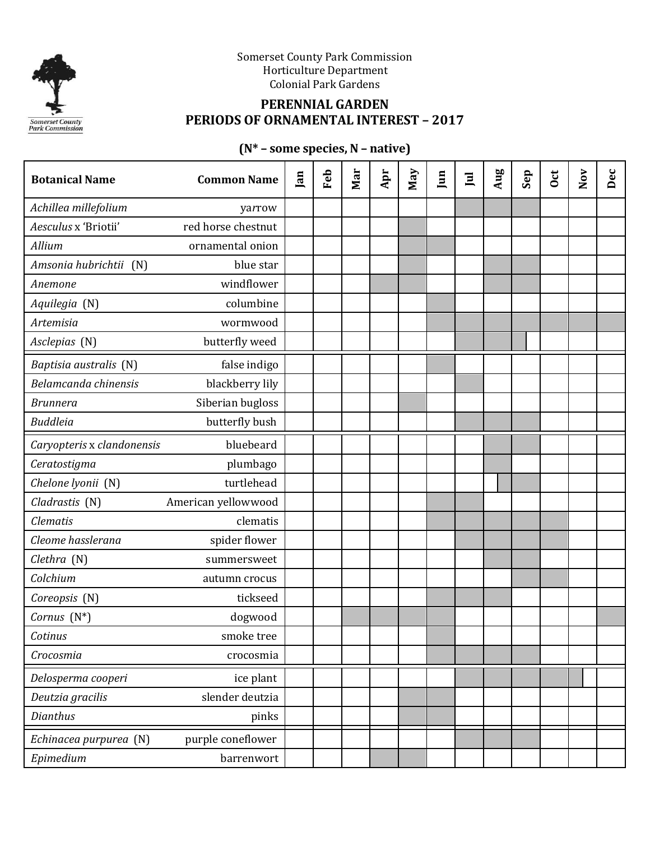

Somerset County Park Commission Horticulture Department Colonial Park Gardens

## **PERENNIAL GARDEN PERIODS OF ORNAMENTAL INTEREST – 2017**

# **(N\* – some species, N – native)**

| <b>Botanical Name</b>      | <b>Common Name</b>  | Jan | Feb | Mar | Apr | May | $\mathbf{I}$ | $\Xi$ | Aug | Sep | <b>Oct</b> | $\mathbf{Nov}$ | Dec |
|----------------------------|---------------------|-----|-----|-----|-----|-----|--------------|-------|-----|-----|------------|----------------|-----|
| Achillea millefolium       | yarrow              |     |     |     |     |     |              |       |     |     |            |                |     |
| Aesculus x 'Briotii'       | red horse chestnut  |     |     |     |     |     |              |       |     |     |            |                |     |
| Allium                     | ornamental onion    |     |     |     |     |     |              |       |     |     |            |                |     |
| Amsonia hubrichtii (N)     | blue star           |     |     |     |     |     |              |       |     |     |            |                |     |
| Anemone                    | windflower          |     |     |     |     |     |              |       |     |     |            |                |     |
| Aquilegia (N)              | columbine           |     |     |     |     |     |              |       |     |     |            |                |     |
| Artemisia                  | wormwood            |     |     |     |     |     |              |       |     |     |            |                |     |
| Asclepias (N)              | butterfly weed      |     |     |     |     |     |              |       |     |     |            |                |     |
| Baptisia australis (N)     | false indigo        |     |     |     |     |     |              |       |     |     |            |                |     |
| Belamcanda chinensis       | blackberry lily     |     |     |     |     |     |              |       |     |     |            |                |     |
| <b>Brunnera</b>            | Siberian bugloss    |     |     |     |     |     |              |       |     |     |            |                |     |
| <b>Buddleia</b>            | butterfly bush      |     |     |     |     |     |              |       |     |     |            |                |     |
| Caryopteris x clandonensis | bluebeard           |     |     |     |     |     |              |       |     |     |            |                |     |
| Ceratostigma               | plumbago            |     |     |     |     |     |              |       |     |     |            |                |     |
| Chelone lyonii (N)         | turtlehead          |     |     |     |     |     |              |       |     |     |            |                |     |
| Cladrastis (N)             | American yellowwood |     |     |     |     |     |              |       |     |     |            |                |     |
| <b>Clematis</b>            | clematis            |     |     |     |     |     |              |       |     |     |            |                |     |
| Cleome hasslerana          | spider flower       |     |     |     |     |     |              |       |     |     |            |                |     |
| Clethra (N)                | summersweet         |     |     |     |     |     |              |       |     |     |            |                |     |
| Colchium                   | autumn crocus       |     |     |     |     |     |              |       |     |     |            |                |     |
| Coreopsis (N)              | tickseed            |     |     |     |     |     |              |       |     |     |            |                |     |
| Cornus $(N^*)$             | dogwood             |     |     |     |     |     |              |       |     |     |            |                |     |
| Cotinus                    | smoke tree          |     |     |     |     |     |              |       |     |     |            |                |     |
| Crocosmia                  | crocosmia           |     |     |     |     |     |              |       |     |     |            |                |     |
| Delosperma cooperi         | ice plant           |     |     |     |     |     |              |       |     |     |            |                |     |
| Deutzia gracilis           | slender deutzia     |     |     |     |     |     |              |       |     |     |            |                |     |
| Dianthus                   | pinks               |     |     |     |     |     |              |       |     |     |            |                |     |
| Echinacea purpurea (N)     | purple coneflower   |     |     |     |     |     |              |       |     |     |            |                |     |
| Epimedium                  | barrenwort          |     |     |     |     |     |              |       |     |     |            |                |     |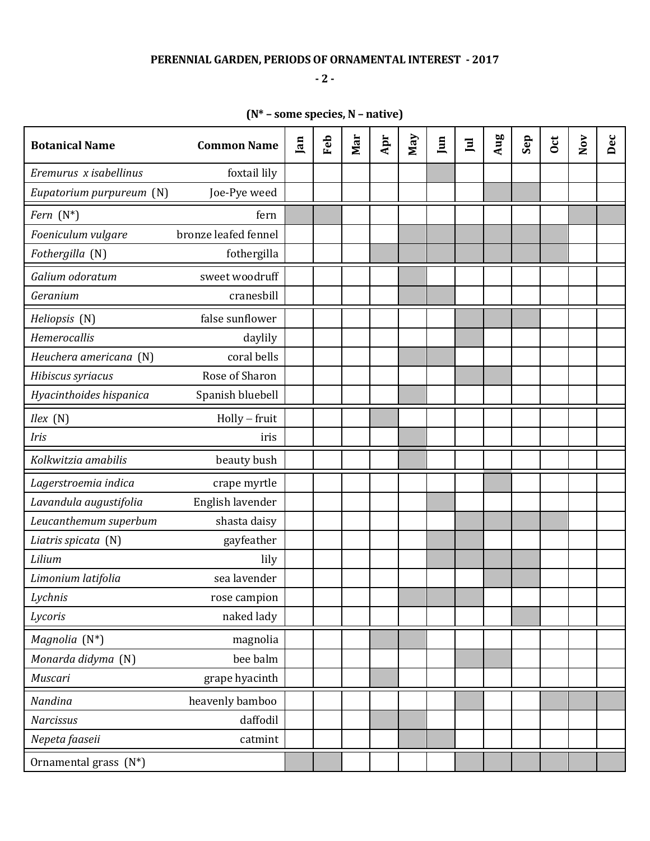### **PERENNIAL GARDEN, PERIODS OF ORNAMENTAL INTEREST - 2017**

**- 2 -**

# **(N\* – some species, N – native)**

| <b>Botanical Name</b>    | <b>Common Name</b>   | Jan | Feb | Mar | Apr | Nay | Jun | 亘 | Aug | Sep | <b>Oct</b> | $\mathbf{Nov}$ | Dec |
|--------------------------|----------------------|-----|-----|-----|-----|-----|-----|---|-----|-----|------------|----------------|-----|
| Eremurus x isabellinus   | foxtail lily         |     |     |     |     |     |     |   |     |     |            |                |     |
| Eupatorium purpureum (N) | Joe-Pye weed         |     |     |     |     |     |     |   |     |     |            |                |     |
| Fern $(N^*)$             | fern                 |     |     |     |     |     |     |   |     |     |            |                |     |
| Foeniculum vulgare       | bronze leafed fennel |     |     |     |     |     |     |   |     |     |            |                |     |
| Fothergilla (N)          | fothergilla          |     |     |     |     |     |     |   |     |     |            |                |     |
| Galium odoratum          | sweet woodruff       |     |     |     |     |     |     |   |     |     |            |                |     |
| Geranium                 | cranesbill           |     |     |     |     |     |     |   |     |     |            |                |     |
| Heliopsis (N)            | false sunflower      |     |     |     |     |     |     |   |     |     |            |                |     |
| Hemerocallis             | daylily              |     |     |     |     |     |     |   |     |     |            |                |     |
| Heuchera americana (N)   | coral bells          |     |     |     |     |     |     |   |     |     |            |                |     |
| Hibiscus syriacus        | Rose of Sharon       |     |     |     |     |     |     |   |     |     |            |                |     |
| Hyacinthoides hispanica  | Spanish bluebell     |     |     |     |     |     |     |   |     |     |            |                |     |
| Ilex(N)                  | $Holly$ - fruit      |     |     |     |     |     |     |   |     |     |            |                |     |
| Iris                     | iris                 |     |     |     |     |     |     |   |     |     |            |                |     |
| Kolkwitzia amabilis      | beauty bush          |     |     |     |     |     |     |   |     |     |            |                |     |
| Lagerstroemia indica     | crape myrtle         |     |     |     |     |     |     |   |     |     |            |                |     |
| Lavandula augustifolia   | English lavender     |     |     |     |     |     |     |   |     |     |            |                |     |
| Leucanthemum superbum    | shasta daisy         |     |     |     |     |     |     |   |     |     |            |                |     |
| Liatris spicata (N)      | gayfeather           |     |     |     |     |     |     |   |     |     |            |                |     |
| Lilium                   | lily                 |     |     |     |     |     |     |   |     |     |            |                |     |
| Limonium latifolia       | sea lavender         |     |     |     |     |     |     |   |     |     |            |                |     |
| Lychnis                  | rose campion         |     |     |     |     |     |     |   |     |     |            |                |     |
| Lycoris                  | naked lady           |     |     |     |     |     |     |   |     |     |            |                |     |
| Magnolia (N*)            | magnolia             |     |     |     |     |     |     |   |     |     |            |                |     |
| Monarda didyma (N)       | bee balm             |     |     |     |     |     |     |   |     |     |            |                |     |
| Muscari                  | grape hyacinth       |     |     |     |     |     |     |   |     |     |            |                |     |
| Nandina                  | heavenly bamboo      |     |     |     |     |     |     |   |     |     |            |                |     |
| <b>Narcissus</b>         | daffodil             |     |     |     |     |     |     |   |     |     |            |                |     |
| Nepeta faaseii           | catmint              |     |     |     |     |     |     |   |     |     |            |                |     |
| Ornamental grass (N*)    |                      |     |     |     |     |     |     |   |     |     |            |                |     |